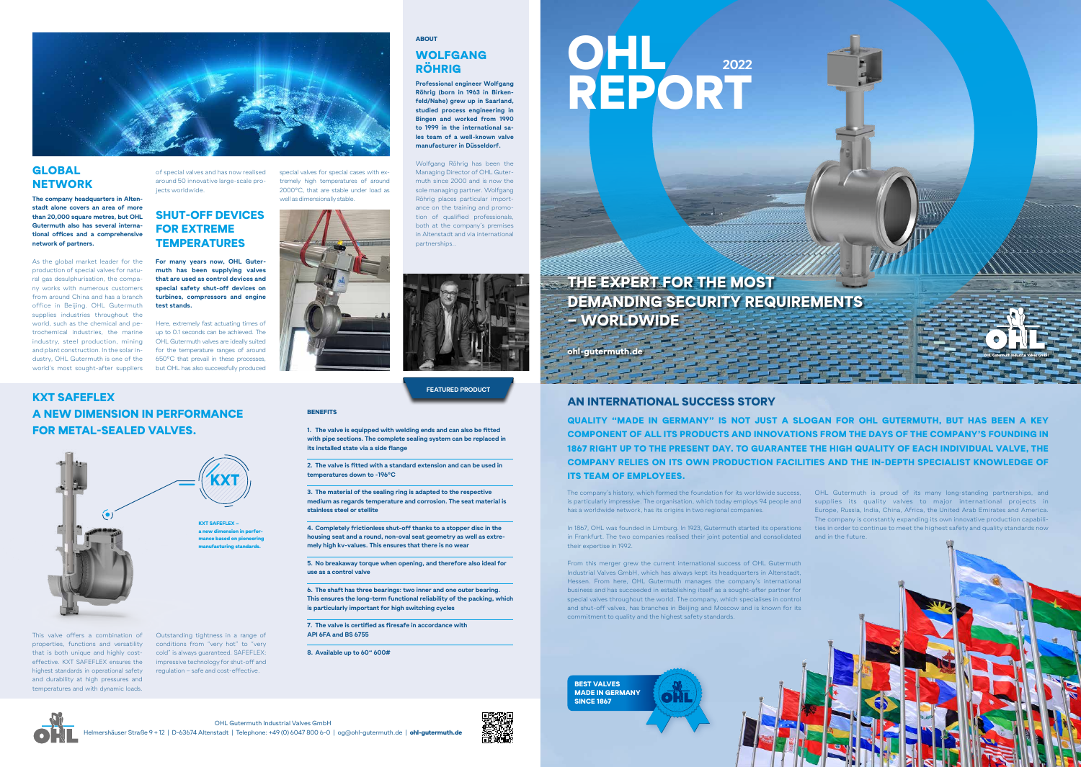ohl-gutermuth.de

#### AN INTERNATIONAL SUCCESS STORY

KXT SAFEFLEX

A NEW DIMENSION IN PERFORMANCE

FOR METAL-SEALED VALVES.

This valve offers a combination of properties, functions and versatility that is both unique and highly costeffective. KXT SAFEFLEX ensures the highest standards in operational safety and durability at high pressures and temperatures and with dynamic loads.

Outstanding tightness in a range of conditions from "very hot" to "very cold" is always guaranteed. SAFEFLEX: impressive technology for shut-off and regulation – safe and cost-effective.





**1. The valve is equipped with welding ends and can also be fitted with pipe sections. The complete sealing system can be replaced in its installed state via a side flange**



#### GLOBAL **NETWORK**

**2. The valve is fitted with a standard extension and can be used in temperatures down to -196°C** 

**3. The material of the sealing ring is adapted to the respective medium as regards temperature and corrosion. The seat material is stainless steel or stellite**

**4. Completely frictionless shut-off thanks to a stopper disc in the housing seat and a round, non-oval seat geometry as well as extremely high kv-values. This ensures that there is no wear**

**5. No breakaway torque when opening, and therefore also ideal for use as a control valve**

**6. The shaft has three bearings: two inner and one outer bearing. This ensures the long-term functional reliability of the packing, which is particularly important for high switching cycles**

**7. The valve is certified as firesafe in accordance with API 6FA and BS 6755**

**8. Available up to 60" 600#**

KXT SAFEFLEX – a new dimension in performance based on pioneering manufacturing standards.

# KXT

**The company headquarters in Altenstadt alone covers an area of more than 20,000 square metres, but OHL Gutermuth also has several international offices and a comprehensive network of partners.**

> is particularly impressive. The organisation, which today employs 94 people and an supplies aits quality valves to major international projects in In 1867, OHL was founded in Limburg. In 1923, Gutermuth started its operations ——ties in order to continue to meet the highest safety and quality standards now OHL Gutermuth is proud of its many long-standing partnerships, and Europe, Russia, India, China, Africa, the United Arab Emirates and America. The company is constantly expanding its own innovative production capabili-

As the global market leader for the production of special valves for natural gas desulphurisation, the company works with numerous customers from around China and has a branch office in Beijing. OHL Gutermuth supplies industries throughout the world, such as the chemical and petrochemical industries, the marine industry, steel production, mining and plant construction. In the solar industry, OHL Gutermuth is one of the world's most sought-after suppliers

THE EXPERT FOR THE MOST DEMANDING SECURITY REQUIREMENTS – WORLDWIDE

of special valves and has now realised around 50 innovative large-scale projects worldwide.

#### SHUT-OFF DEVICES FOR EXTREME **TEMPERATURES**

#### ABOUT

#### WOLFGANG RÖHRIG

**Professional engineer Wolfgang Röhrig (born in 1963 in Birkenfeld/Nahe) grew up in Saarland, studied process engineering in Bingen and worked from 1990 to 1999 in the international sales team of a well-known valve manufacturer in Düsseldorf.**

## **2022** OHL REPORT

Wolfgang Röhrig has been the Managing Director of OHL Gutermuth since 2000 and is now the sole managing partner. Wolfgang Röhrig places particular importance on the training and promotion of qualified professionals, both at the company's premises in Altenstadt and via international partnerships..



**FEATURED PRODUCT**

#### **BENEFITS**

BEST VALVES

**SINCE 1867** 

MADE IN GERMANY

The company's history, which formed the foundation for its worldwide success, has a worldwide network, has its origins in two regional companies.

in Frankfurt. The two companies realised their joint potential and consolidated and in the future. their expertise in 1992.

From this merger grew the current international success of OHL Gutermuth Industrial Valves GmbH, which has always kept its headquarters in Altenstadt, Hessen. From here, OHL Gutermuth manages the company's international business and has succeeded in establishing itself as a sought-after partner for special valves throughout the world. The company, which specialises in control and shut-off valves, has branches in Beijing and Moscow and is known for its commitment to quality and the highest safety standards.

QUALITY "MADE IN GERMANY" IS NOT JUST A SLOGAN FOR OHL GUTERMUTH, BUT HAS BEEN A KEY COMPONENT OF ALL ITS PRODUCTS AND INNOVATIONS FROM THE DAYS OF THE COMPANY'S FOUNDING IN 1867 RIGHT UP TO THE PRESENT DAY. TO GUARANTEE THE HIGH QUALITY OF EACH INDIVIDUAL VALVE, THE COMPANY RELIES ON ITS OWN PRODUCTION FACILITIES AND THE IN-DEPTH SPECIALIST KNOWLEDGE OF ITS TEAM OF EMPLOYEES.

**For many years now, OHL Gutermuth has been supplying valves that are used as control devices and special safety shut-off devices on turbines, compressors and engine test stands.**

Here, extremely fast actuating times of up to 0.1 seconds can be achieved. The OHL Gutermuth valves are ideally suited for the temperature ranges of around 650°C that prevail in these processes, but OHL has also successfully produced

special valves for special cases with extremely high temperatures of around 2000°C, that are stable under load as well as dimensionally stable.